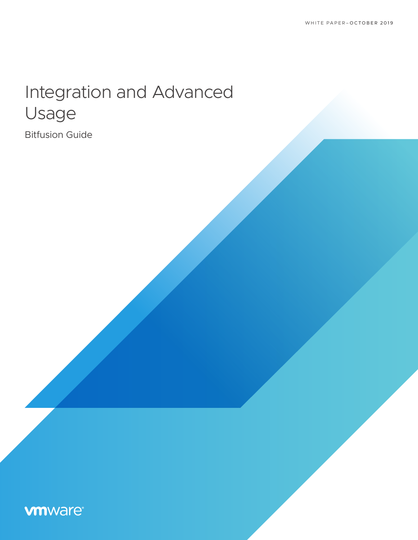# Integration and Advanced Usage

Bitfusion Guide

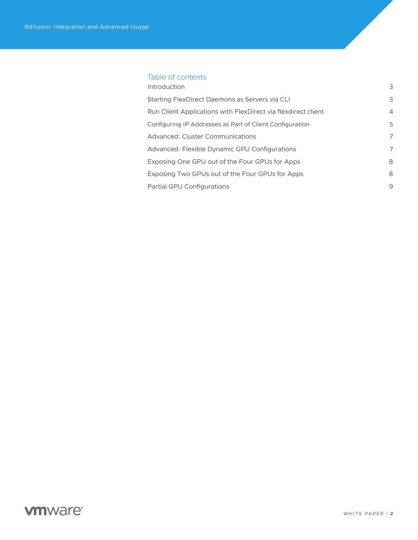### Table of contents

| Introduction                                                  | 3              |
|---------------------------------------------------------------|----------------|
| Starting FlexDirect Daemons as Servers via CLI                | 3              |
| Run Client Applications with FlexDirect via flexdirect client | $\overline{4}$ |
| Configuring IP Addresses as Part of Client Configuration      | 5              |
| Advanced: Cluster Communications                              | $\overline{7}$ |
| Advanced: Flexible Dynamic GPU Configurations                 | 7              |
| Exposing One GPU out of the Four GPUs for Apps                | 8              |
| Exposing Two GPUs out of the Four GPUs for Apps               | 8              |
| Partial GPU Configurations                                    | 9              |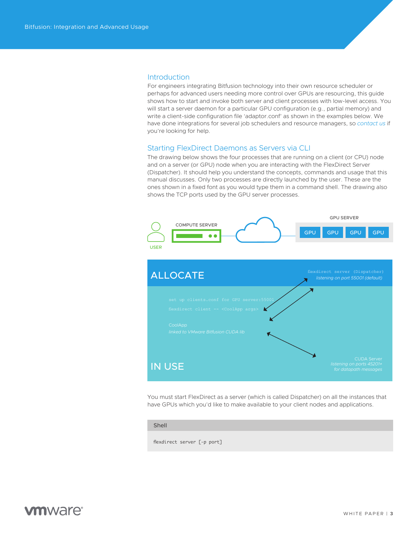#### <span id="page-2-0"></span>**Introduction**

For engineers integrating Bitfusion technology into their own resource scheduler or perhaps for advanced users needing more control over GPUs are resourcing, this guide shows how to start and invoke both server and client processes with low-level access. You will start a server daemon for a particular GPU configuration (e.g., partial memory) and write a client-side configuration file 'adaptor.conf' as shown in the examples below. We have done integrations for several job schedulers and resource managers, so *[contact us](mailto:askbitfusion%40vmware.com?subject=)* if you're looking for help.

### Starting FlexDirect Daemons as Servers via CLI

The drawing below shows the four processes that are running on a client (or CPU) node and on a server (or GPU) node when you are interacting with the FlexDirect Server (Dispatcher). It should help you understand the concepts, commands and usage that this manual discusses. Only two processes are directly launched by the user. These are the ones shown in a fixed font as you would type them in a command shell. The drawing also shows the TCP ports used by the GPU server processes.



You must start FlexDirect as a server (which is called Dispatcher) on all the instances that have GPUs which you'd like to make available to your client nodes and applications.

#### Shell

flexdirect server [-p port]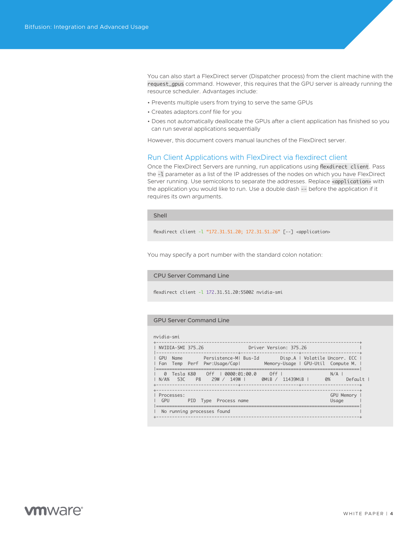<span id="page-3-0"></span>You can also start a FlexDirect server (Dispatcher process) from the client machine with the request\_gpus command. However, this requires that the GPU server is already running the resource scheduler. Advantages include:

- Prevents multiple users from trying to serve the same GPUs
- Creates adaptors.conf file for you
- Does not automatically deallocate the GPUs after a client application has finished so you can run several applications sequentially

However, this document covers manual launches of the FlexDirect server.

### Run Client Applications with FlexDirect via flexdirect client

Once the FlexDirect Servers are running, run applications using flexdirect client. Pass the -l parameter as a list of the IP addresses of the nodes on which you have FlexDirect Server running. Use semicolons to separate the addresses. Replace <application> with the application you would like to run. Use a double dash -- before the application if it requires its own arguments.

Shell

flexdirect client -l "172.31.51.20; 172.31.51.26" [--] <application>

You may specify a port number with the standard colon notation:

#### CPU Server Command Line

flexdirect client -l 172.31.51.20:55002 nvidia-smi

#### GPU Server Command Line

| nvidia-smi                                                                                               |                                                                                                  |
|----------------------------------------------------------------------------------------------------------|--------------------------------------------------------------------------------------------------|
| NVIDIA-SMI 375.26                                                                                        | Driver Version: 375.26                                                                           |
| GPU<br>Perf Pwr:Usage/Capl<br>Temp<br>l Fan                                                              | Name Persistence-MI Bus-Id Disp.A   Volatile Uncorr. ECC  <br>Memory-Usage   GPU-Util Compute M. |
| Off   0000:01:00.0<br>Tesla K80<br>$\Omega$<br>$N/\Delta\%$<br>- 530<br>P <sub>8</sub><br>79W/<br>149W I | $\bigcirc$ of f<br>N/A<br>0%<br>OMiB /<br>11439MiB  <br>$Defaul+$                                |
| Processes:<br>GPU<br>PID Type Process name                                                               | GPU Memory<br>Usage                                                                              |
| No running processes found                                                                               |                                                                                                  |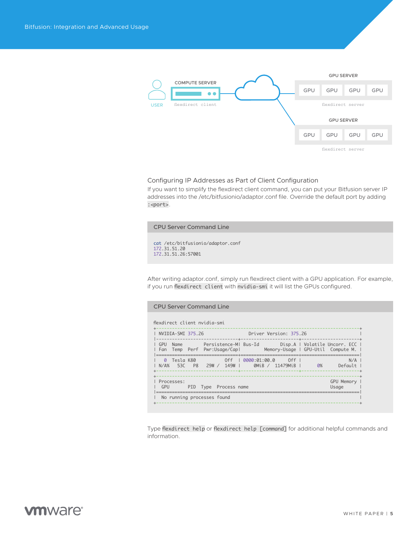<span id="page-4-0"></span>

#### Configuring IP Addresses as Part of Client Configuration

If you want to simplify the flexdirect client command, you can put your Bitfusion server IP addresses into the /etc/bitfusionio/adaptor.conf file. Override the default port by adding :<port>.

CPU Server Command Line

cat /etc/bitfusionio/adaptor.conf 172.31.51.20 172.31.51.26:57001

After writing adaptor.conf, simply run flexdirect client with a GPU application. For example, if you run flexdirect client with nvidia-smi it will list the GPUs configured.

| <b>CPU Server Command Line</b>                                                                                                                                                                                                                             |  |  |  |  |  |  |
|------------------------------------------------------------------------------------------------------------------------------------------------------------------------------------------------------------------------------------------------------------|--|--|--|--|--|--|
| flexdirect client nvidig-smi                                                                                                                                                                                                                               |  |  |  |  |  |  |
| <b>Driver Version: 375.26</b> Driver Constanting Constanting Constanting Constanting Constanting Constanting Constanting Constanting Constanting Constanting Constanting Constanting Constanting Constanting Constanting Constantin<br>I NVIDIA-SMI 375.26 |  |  |  |  |  |  |
| Fan Temp Perf Pwr:Usage/Cap  Memory-Usage   GPU-Util Compute M.                                                                                                                                                                                            |  |  |  |  |  |  |
| N/A<br>  N/A% 53C P8 29W / 149W   0MiB / 11479MiB   0%<br>Default                                                                                                                                                                                          |  |  |  |  |  |  |
| GPU Memory<br>Processes:<br>GPU<br>Usage<br>PID Type Process name                                                                                                                                                                                          |  |  |  |  |  |  |
| No running processes found                                                                                                                                                                                                                                 |  |  |  |  |  |  |

Type flexdirect help or flexdirect help [command] for additional helpful commands and information.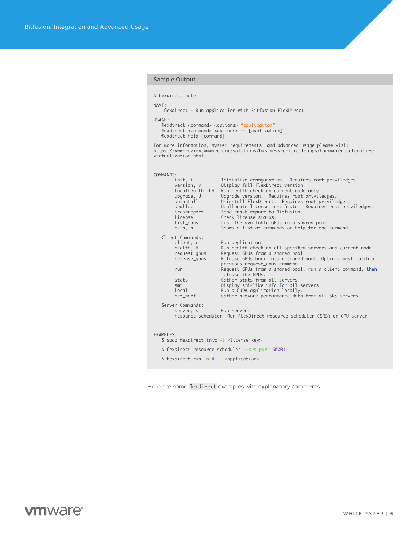#### Sample Output

```
$ flexdirect help
```
NAME:

-.<br>flexdirect - Run application with Bitfusion FlexDirect

USAGE:

```
flexdirect <command> <options> "application"<br>flexdirect <command> <options> -- [application]<br>flexdirect help [command]
```
For more information, system requirements, and advanced usage please visit https://www-review.vmware.com/solutions/business-critical-apps/hardwareaccelerators-virtualization.html

| COMMANDS: |                                                                                                                                  |                                                                                                                                                                                                                                                                                                                                                                                                                                                                   |
|-----------|----------------------------------------------------------------------------------------------------------------------------------|-------------------------------------------------------------------------------------------------------------------------------------------------------------------------------------------------------------------------------------------------------------------------------------------------------------------------------------------------------------------------------------------------------------------------------------------------------------------|
|           | init, i<br>version, v<br>localhealth, LH<br>upgrade, U<br>uninstall<br>dealloc<br>crashreport<br>license<br>list_gpus<br>help, h | Initialize configuration. Requires root priviledges.<br>Display full FlexDirect version.<br>Run health check on current node only.<br>Upgrade version. Requires root priviledges.<br>Uninstall FlexDirect. Requires root priviledges.<br>Deallocate license certificate. Requires root priviledges.<br>Send crash report to Bitfusion.<br>Check license status.<br>List the available GPUs in a shared pool.<br>Shows a list of commands or help for one command. |
|           | Client Commands:                                                                                                                 |                                                                                                                                                                                                                                                                                                                                                                                                                                                                   |
|           | client, c<br>health, H<br>request_gpus<br>release_gpus                                                                           | Run application.<br>Run health check on all specified servers and current node.<br>Request GPUs from a shared pool.<br>Release GPUs back into a shared pool. Options must match a<br>previous request_gpus command.                                                                                                                                                                                                                                               |
|           | run                                                                                                                              | Request GPUs from a shared pool, run a client command, then<br>release the GPUs.                                                                                                                                                                                                                                                                                                                                                                                  |
|           | stats                                                                                                                            | Gather stats from all servers.                                                                                                                                                                                                                                                                                                                                                                                                                                    |
|           | smi<br>local                                                                                                                     | Display smi-like info for all servers.<br>Run a CUDA application locally.                                                                                                                                                                                                                                                                                                                                                                                         |
|           | net_perf                                                                                                                         | Gather network performance data from all SRS servers.                                                                                                                                                                                                                                                                                                                                                                                                             |
|           | Server Commands:<br>server, s                                                                                                    | Run server.<br>resource_scheduler Run FlexDirect resource scheduler (SRS) on GPU server                                                                                                                                                                                                                                                                                                                                                                           |
| EXAMPLES: |                                                                                                                                  |                                                                                                                                                                                                                                                                                                                                                                                                                                                                   |
|           | \$ sudo flexdirect init -l <license_key></license_key>                                                                           |                                                                                                                                                                                                                                                                                                                                                                                                                                                                   |
|           |                                                                                                                                  | \$ flexdirect resource_scheduler --srs_port 50001                                                                                                                                                                                                                                                                                                                                                                                                                 |
|           | \$ flexdirect run -n 4 -- <application></application>                                                                            |                                                                                                                                                                                                                                                                                                                                                                                                                                                                   |
|           |                                                                                                                                  |                                                                                                                                                                                                                                                                                                                                                                                                                                                                   |

Here are some flexdirect examples with explanatory comments.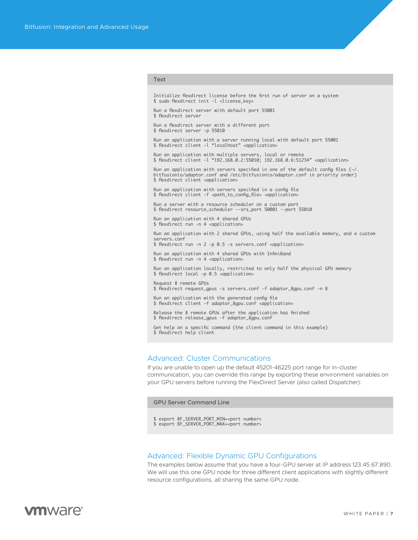#### <span id="page-6-0"></span>Text

Initialize flexdirect license before the first run of server on a system \$ sudo flexdirect init -l <license\_key>

Run a flexdirect server with default port 55001 \$ flexdirect server

Run a flexdirect server with a different port \$ flexdirect server -p 55010

Run an application with a server running local with default port 55001 \$ flexdirect client -l "localhost" <application>

Run an application with multiple servers, local or remote \$ flexdirect client -l "192.168.0.2:55010; 192.168.0.6:51234" <application>

Run an application with servers specified in one of the default config files (~/. bitfusionio/adaptor.conf and /etc/bitfusionio/adaptor.conf in priority order) \$ flexdirect client <application>

Run an application with servers specified in a config file \$ flexdirect client -f <path\_to\_config\_file> <application>

Run a server with a resource scheduler on a custom port \$ flexdirect resource\_scheduler --srs\_port 50001 --port 55010

Run an application with 4 shared GPUs \$ flexdirect run -n 4 <application>

Run an application with 2 shared GPUs, using half the available memory, and a custom servers.conf

\$ flexdirect run -n 2 -p 0.5 -s servers.conf <application>

Run an application with 4 shared GPUs with InfiniBand \$ flexdirect run -n 4 <application>

Run an application locally, restricted to only half the physical GPU memory \$ flexdirect local -p 0.5 <application>

Request 8 remote GPUs \$ flexdirect request\_gpus -s servers.conf -f adaptor\_8gpu.conf -n 8

Run an application with the generated config file \$ flexdirect client -f adaptor\_8gpu.conf <application>

Release the 8 remote GPUs after the application has finished \$ flexdirect release\_gpus -f adaptor\_8gpu.conf

Get help on a specific command (the client command in this example) \$ flexdirect help client

### Advanced: Cluster Communications

If you are unable to open up the default 45201-46225 port range for in-cluster communication, you can override this range by exporting these environment variables on your GPU servers before running the FlexDirect Server (also called Dispatcher):

GPU Server Command Line

- \$ export BF\_SERVER\_PORT\_MIN=<port number>
- \$ export BF\_SERVER\_PORT\_MAX=<port number>

### Advanced: Flexible Dynamic GPU Configurations

The examples below assume that you have a four-GPU server at IP address 123.45.67.890. We will use this one GPU node for three different client applications with slightly different resource configurations, all sharing the same GPU node.

# **vm**ware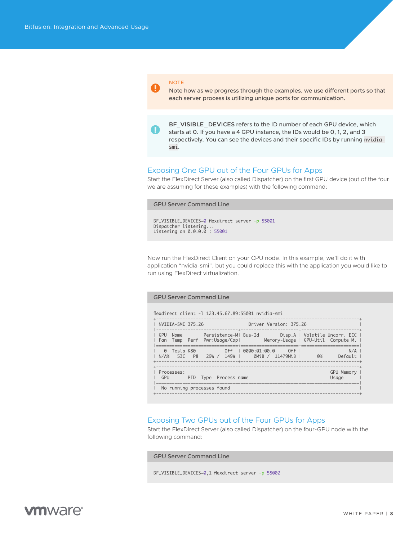#### <span id="page-7-0"></span>NOTE

IJ

Note how as we progress through the examples, we use different ports so that each server process is utilizing unique ports for communication.

**BF\_VISIBLE\_DEVICES** refers to the ID number of each GPU device, which starts at 0. If you have a 4 GPU instance, the IDs would be 0, 1, 2, and 3 respectively. You can see the devices and their specific IDs by running nvidiasmi.

#### Exposing One GPU out of the Four GPUs for Apps

Start the FlexDirect Server (also called Dispatcher) on the first GPU device (out of the four we are assuming for these examples) with the following command:

# GPU Server Command Line BF\_VISIBLE\_DEVICES=0 flexdirect server -p 55001 Dispatcher listening... Listening on 0.0.0.0 : 55001

Now run the FlexDirect Client on your CPU node. In this example, we'll do it with application "nvidia-smi", but you could replace this with the application you would like to run using FlexDirect virtualization.

#### GPU Server Command Line

flexdirect client -l 123.45.67.89:55001 nvidia-smi

| Driver Version: 375.26<br>NVIDIA-SMI 375.26                                                                                          | -+-------------------              |  |  |  |  |
|--------------------------------------------------------------------------------------------------------------------------------------|------------------------------------|--|--|--|--|
| Name Persistence-MI Bus-Id Disp.A   Volatile Uncorr. ECC  <br>GPU<br>Temp Perf Pwr:Usage/Capl<br>l Fan                               | Memory-Usage   GPU-Util Compute M. |  |  |  |  |
| 0000:01:00.0<br>Tesla K80<br>0ff<br>$\Omega$<br>Off I<br>530<br>149W I<br>0MiB / 11479MiB<br>$N/\Delta\%$<br>P <sub>8</sub><br>29W / | N/A<br>0%<br>Default               |  |  |  |  |
| Processes:<br>GPU<br>PID Type Process name                                                                                           | GPU Memory<br>Usage                |  |  |  |  |
| No running processes found                                                                                                           |                                    |  |  |  |  |

### Exposing Two GPUs out of the Four GPUs for Apps

Start the FlexDirect Server (also called Dispatcher) on the four-GPU node with the following command:

GPU Server Command Line

BF\_VISIBLE\_DEVICES=0,1 flexdirect server -p 55002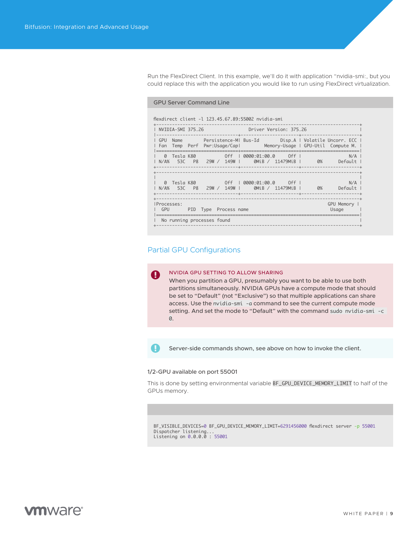<span id="page-8-0"></span>Run the FlexDirect Client. In this example, we'll do it with application "nvidia-smi:, but you could replace this with the application you would like to run using FlexDirect virtualization.

#### GPU Server Command Line

flexdirect client -l 123.45.67.89:55002 nvidia-smi

| 1 NVIDIA-SMI 375.26                                                    |  |                                    | Driver Version: 375.26 |  |                                                                                                                                                           |
|------------------------------------------------------------------------|--|------------------------------------|------------------------|--|-----------------------------------------------------------------------------------------------------------------------------------------------------------|
|                                                                        |  |                                    |                        |  | GPU Name         Persistence-MI Bus-Id         Disp.A   Volatile Uncorr. ECC  <br>l Fan Temp Perf Pwr:Usage/Capl     Memory-Usage I GPU-Util Compute M. I |
|                                                                        |  |                                    |                        |  | $N/A$  <br>  N/A% 53C P8 29W / 149W   0MiB / 11479MiB   0% Default                                                                                        |
| N/A% 53C P8 29W / 149W     0MiB / 11479MiB                             |  | 0 Tesla K80 6ff   0000:01:00.0 6ff |                        |  | N/A I<br>0% Default                                                                                                                                       |
| IProcesses:<br>GPU PID Type Process name<br>No running processes found |  |                                    |                        |  | GPU Memory  <br>Usage                                                                                                                                     |

### Partial GPU Configurations

#### NVIDIA GPU SETTING TO ALLOW SHARING Ш

When you partition a GPU, presumably you want to be able to use both partitions simultaneously. NVIDIA GPUs have a compute mode that should be set to "Default" (not "Exclusive") so that multiple applications can share access. Use the nvidia-smi -a command to see the current compute mode setting. And set the mode to "Default" with the command sudo nvidia-smi -c 0.

H

Server-side commands shown, see above on how to invoke the client.

#### 1/2-GPU available on port 55001

This is done by setting environmental variable BF\_GPU\_DEVICE\_MEMORY\_LIMIT to half of the GPUs memory.

BF\_VISIBLE\_DEVICES=0 BF\_GPU\_DEVICE\_MEMORY\_LIMIT=6291456000 flexdirect server -p 55001 Dispatcher listening... Listening on 0.0.0.0 : 55001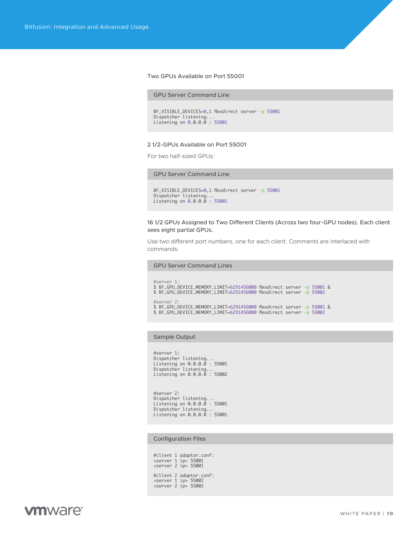#### Two GPUs Available on Port 55001

#### GPU Server Command Line

```
BF_VISIBLE_DEVICES=0,1 flexdirect server -p 55001
Dispatcher listening..
Listening on 0.0.0.0 : 55001
```
#### 2 1/2-GPUs Available on Port 55001

For two half-sized GPUs:

#### GPU Server Command Line

```
BF_VISIBLE_DEVICES=0,1 flexdirect server -p 55001
Dispatcher listening...
Listening on 0.0.0.0 : 55001
```
#### 16 1/2 GPUs Assigned to Two Different Clients (Across two four-GPU nodes). Each client sees eight partial GPUs.

Use two different port numbers, one for each client. Comments are interlaced with commands:

GPU Server Command Lines

```
#server 1:
 $ BF_GPU_DEVICE_MEMORY_LIMIT=6291456000 flexdirect server -p 55001 &
$ BF_GPU_DEVICE_MEMORY_LIMIT=6291456000 flexdirect server -p 55002 
#server 2:
 $ BF_GPU_DEVICE_MEMORY_LIMIT=6291456000 flexdirect server -p 55001 &
$ BF_GPU_DEVICE_MEMORY_LIMIT=6291456000 flexdirect server -p 55002
```
#### Sample Output

#server 1: Dispatcher listening... Listening on 0.0.0.0 : 55001 Dispatcher listening... Listening on 0.0.0.0 : 55002

#server 2: Dispatcher listening... Listening on 0.0.0.0 : 55001 Dispatcher listening... Listening on 0.0.0.0 : 55001

#### Configuration Files

#client 1 adaptor.conf: <server 1 ip> 55001 <server 2 ip> 55001 #client 2 adaptor.conf: <server 1 ip> 55002 <server 2 ip> 55002

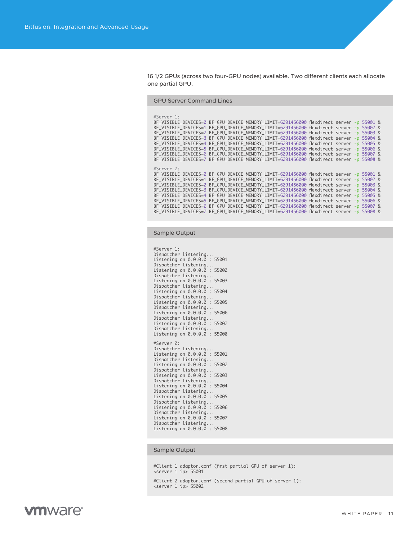16 1/2 GPUs (across two four-GPU nodes) available. Two different clients each allocate one partial GPU.

GPU Server Command Lines

| #Server 1: | BF_VISIBLE_DEVICES=0 BF_GPU_DEVICE_MEMORY_LIMIT=6291456000 flexdirect server -p 55001 &<br>BF_VISIBLE_DEVICES=1 BF_GPU_DEVICE_MEMORY_LIMIT=6291456000 flexdirect server -p 55002 &<br>BF_VISIBLE_DEVICES=2 BF_GPU_DEVICE_MEMORY_LIMIT=6291456000 flexdirect server -p 55003 &<br>BF_VISIBLE_DEVICES=3 BF_GPU_DEVICE_MEMORY_LIMIT=6291456000 flexdirect server -p 55004 &<br>BF_VISIBLE_DEVICES=4 BF_GPU_DEVICE_MEMORY_LIMIT=6291456000 flexdirect server -p 55005 &<br>BF_VISIBLE_DEVICES=5 BF_GPU_DEVICE_MEMORY_LIMIT=6291456000 flexdirect server -p 55006 &<br>BF_VISIBLE_DEVICES=6 BF_GPU_DEVICE_MEMORY_LIMIT=6291456000 flexdirect server -p 55007 &<br>BF_VISIBLE_DEVICES=7 BF_GPU_DEVICE_MEMORY_LIMIT=6291456000 flexdirect server -p 55008 & |  |  |  |
|------------|------------------------------------------------------------------------------------------------------------------------------------------------------------------------------------------------------------------------------------------------------------------------------------------------------------------------------------------------------------------------------------------------------------------------------------------------------------------------------------------------------------------------------------------------------------------------------------------------------------------------------------------------------------------------------------------------------------------------------------------------------|--|--|--|
| #Server 2: | BF_VISIBLE_DEVICES=0 BF_GPU_DEVICE_MEMORY_LIMIT=6291456000 flexdirect server -p 55001 &<br>BF_VISIBLE_DEVICES=1_BF_GPU_DEVICE_MEMORY_LIMIT=6291456000_flexdirect_server_-p_55002_&<br>BF_VISIBLE_DEVICES=2 BF_GPU_DEVICE_MEMORY_LIMIT=6291456000 flexdirect server -p 55003 &<br>BF_VISIBLE_DEVICES=3 BF_GPU_DEVICE_MEMORY_LIMIT=6291456000 flexdirect server -p 55004 &<br>BF_VISIBLE_DEVICES=4 BF_GPU_DEVICE_MEMORY_LIMIT=6291456000 flexdirect server -p 55005 &<br>BF_VISIBLE_DEVICES=5 BF_GPU_DEVICE_MEMORY_LIMIT=6291456000 flexdirect server -p 55006 &<br>BF_VISIBLE_DEVICES=6 BF_GPU_DEVICE_MEMORY_LIMIT=6291456000 flexdirect server -p 55007 &<br>BF_VISIBLE_DEVICES=7 BF_GPU_DEVICE_MEMORY_LIMIT=6291456000 flexdirect server -p 55008 & |  |  |  |

Sample Output

```
#Server 1: 
Dispatcher listening...
Listening on 0.0.0.0 : 55001
Dispatcher listening...
Listening on 0.0.0.0 : 55002
Dispatcher listening...
Listening on 0.0.0.0 : 55003
Dispatcher listening...
Listening on 0.0.0.0 : 55004
Dispatcher listening.
Listening on 0.0.0.0 : 55005
Dispatcher listening...
Listening on 0.0.0.0 : 55006
Dispatcher listening...
Listening on 0.0.0.0 : 55007
Dispatcher listening...
Listening on 0.0.0.0 : 55008
#Server 2: 
Dispatcher listening...
Listening on 0.0.0.0 : 55001
Dispatcher listening...
Listening on 0.0.0.0 : 55002
Dispatcher listening...
Listening on 0.0.0.0 : 55003
Dispatcher listening...
Listening on 0.0.0.0 : 55004
Dispatcher listening...
Listening on 0.0.0.0 : 55005
Dispatcher listening...
Listening on 0.0.0.0 : 55006
Dispatcher listening...
Listening on 0.0.0.0 : 55007
Dispatcher listening...
Listening on 0.0.0.0 : 55008
```
#### Sample Output

#Client 1 adaptor.conf (first partial GPU of server 1): <server 1 ip> 55001

#Client 2 adaptor.conf (second partial GPU of server 1): <server 1 ip> 55002